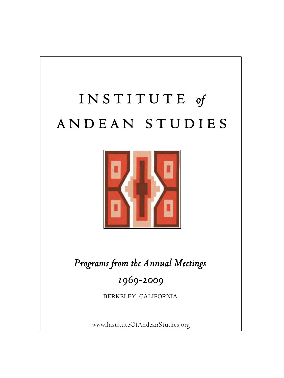## I N S T I T U T E *of* A N D E A N S T U D I E S



*Programs from the Annual Meetings*

*1969-2009*

BERKELEY, CALIFORNIA

www.InstituteOfAndeanStudies.org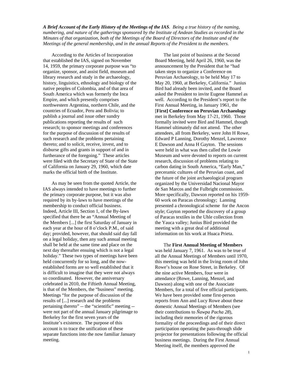*A Brief Account of the Early History of the Meetings of the IAS. Being a true history of the naming, numbering, and nature of the gatherings sponsored by the Institute of Andean Studies as recorded in the Minutes of that organization, both of the Meetings of the Board of Directors of the Institute and of the Meetings of the general membership, and in the annual Reports of the President to the members.* 

According to the Articles of Incorporation that established the IAS, signed on November 14, 1959, the primary corporate purpose was "to organize, sponsor, and assist field, museum and library research and study in the archaeology, history, linguistics, ethnology and biology of the native peoples of Colombia, and of that area of South America which was formerly the Inca Empire, and which presently comprises northwestern Argentina, northern Chile, and the countries of Ecuador, Peru and Bolivia; to publish a journal and issue other sundry publications reporting the results of such research; to sponsor meetings and conferences for the purpose of discussion of the results of such research and the problems pertaining thereto; and to solicit, receive, invest, and to disburse gifts and grants in support of and in furtherance of the foregoing." These articles were filed with the Secretary of State of the State of California on January 29, 1960, which date marks the official birth of the Institute.

As may be seen from the quoted Article, the IAS always intended to have meetings to further the primary corporate purpose, but it was also required by its by-laws to have meetings of the membership to conduct official business. Indeed, Article III, Section 1, of the By-laws specified that there be an "Annual Meeting of the Members [...] the first Saturday of January in each year at the hour of 8 o'clock P.M., of said day; provided, however, that should said day fall on a legal holiday, then any such annual meeting shall be held at the same time and place on the next day thereafter ensuing which is not a legal holiday." These two types of meetings have been held concurrently for so long, and the nowestablished forms are so well established that it is difficult to imagine that they were not always so coordinated. However, the anniversary celebrated in 2010, the Fiftieth Annual Meeting, is that of the Members, the "business" meeting. Meetings "for the purpose of discussion of the results of [...] research and the problems pertaining thereto" -- the "scientific" meeting - were not part of the annual January pilgrimage to Berkeley for the first seven years of the Institute's existence. The purpose of this account is to trace the unification of these separate functions into the now familiar January meeting.

The last point of business at the Second Board Meeting, held April 26, 1960, was the announcement by the President that he "had taken steps to organize a Conference on Peruvian Archaeology, to be held May 17 to May 20, 1960, at Berkeley, California." Junius Bird had already been invited, and the Board asked the President to invite Eugene Hammel as well. According to the President's report to the First Annual Meeting, in January 1961, the [**First] Conference on Peruvian Archaeology** met in Berkeley from May 17-21, 1960. Those formally invited were Bird and Hammel, though Hammel ultimately did not attend. The other attendees, all from Berkeley, were John H Rowe, Edward P Lanning, Dorothy Menzel, Lawrence E Dawson and Anna H Gayton. The sessions were held in what was then called the Lowie Museum and were devoted to reports on current research, discussion of problems relating to carbon dating in South America, "Early Man," preceramic cultures of the Peruvian coast, and the future of the joint archaeological program organized by the Universidad Nacional Mayor de San Marcos and the Fulbright commission. More specifically, Dawson reported on his 1959- 60 work on Paracas chronology; Lanning presented a chronological scheme for the Ancon style; Gayton reported the discovery of a group of Paracas textiles in the Uhle collection from the Yauca valley; Junius Bird provided the meeting with a great deal of additional information on his work at Huaca Prieta.

The **First Annual Meeting of Members** was held January 7, 1961. As was to be true of all the Annual Meetings of Members until 1970, this meeting was held in the living room of John Rowe's house on Rose Street, in Berkeley. Of the nine active Members, four were in attendance (Rowe, Lanning, Menzel, and Dawson) along with one of the Associate Members, for a total of five official participants. We have been provided some first-person reports from Ann and Lucy Rowe about these domestic Annual Meetings of Members (see their contributions to *Ñawpa Pacha 28*), including their memories of the rigorous formality of the proceedings and of their direct participation operating the pass-through slide projector for presentations following the official business meetings. During the First Annual Meeting itself, the members approved the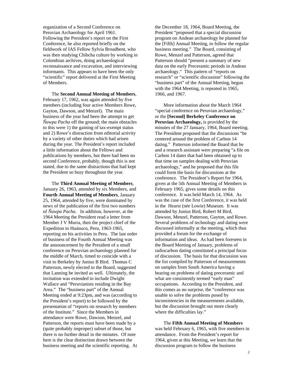organization of a Second Conference on Peruvian Archaeology for April 1961. Following the President's report on the First Conference, he also reported briefly on the fieldwork of IAS Fellow Sylvia Broadbent, who was then studying Chibcha culture by working in Colombian archives, doing archaeological reconnaissance and excavation, and interviewing informants. This appears to have been the only "scientific" report delivered at the First Meeting of Members.

The **Second Annual Meeting of Members**, February 17, 1962, was again attended by five members (including four active Members Rowe, Gayton, Dawson, and Menzel). The main business of the year had been the attempt to get *Ñawpa Pacha* off the ground; the main obstacles to this were 1) the gaining of tax-exempt status and 2) Rowe's distraction from editorial activity by a variety of other duties which had arisen during the year. The President's report included a little information about the Fellows and publications by members, but there had been no second Conference, probably, though this is not stated, due to the same distractions that had kept the President so busy throughout the year.

The **Third Annual Meeting of Members**, January 26, 1963, attended by six Members, and **Fourth Annual Meeting of Members**, January 25, 1964, attended by five, were dominated by news of the publication of the first two numbers of *Ñawpa Pacha*. In addition, however, at the 1964 Meeting the President read a letter from Member J V Murra, then the project chief of the Expedition to Huánuco, Peru, 1963-1965, reporting on his activities in Peru. The last order of business of the Fourth Annual Meeting was the announcement by the President of a small conference on Peruvian archaeology planned for the middle of March, timed to coincide with a visit to Berkeley by Junius B Bird. Thomas C Patterson, newly elected to the Board, suggested that Lanning be invited as well. Ultimately, the invitation was extended to include Dwight Wallace and "Peruvianists residing in the Bay Area." The "business part" of the Annual Meeting ended at 9:23pm, and was (according to the President's report) to be followed by the presentation of "reports on research by members of the Institute." Since the Members in attendance were Rowe, Dawson, Menzel, and Patterson, the reports must have been made by a (quite probably improper) subset of those, but there is no further detail in the minutes. Of note here is the clear distinction drawn between the business meeting and the scientific reporting. At

the December 18, 1964, Board Meeting, the President "proposed that a special discussion program on Andean archaeology be planned for the [Fifth] Annual Meeting, to follow the regular business meeting." The Board, consisting of Rowe, Menzel and Patterson, agreed that Patterson should "present a summary of new data on the early Preceramic periods in Andean archaeology." This pattern of "reports on research" or "scientific discussion" following the "business part" of the Annual Meeting, begun with the 1964 Meeting, is repeated in 1965, 1966, and 1967.

More information about the March 1964 "special conference on Peruvian archaeology," or the **[Second] Berkeley Conference on Peruvian Archaeology,** is provided by the minutes of the 27 January, 1964, Board meeting. The President proposed that the discussions "be centered around the problem of Carbon 14 dating." Patterson informed the Board that he and a research assistant were preparing "a file on Carbon 14 dates that had been obtained up to that time on samples dealing with Peruvian archaeology," and he proposed that this file could form the basis for discussions at the conference. The President's Report for 1964, given at the 5th Annual Meeting of Members in February 1965, gives some details on this conference. It was held March 14, 1964. As was the case of the first Conference, it was held in the Hearst (née Lowie) Museum. It was attended by Junius Bird, Robert M Bird, Dawson, Menzel, Patterson, Gayton, and Rowe. Several problems of technology and dating were discussed informally at the meeting, which thus provided a forum for the exchange of information and ideas. As had been foreseen in the Board Meeting of January, problems of radiocarbon dating constituted a principal focus of discussion. The basis for that discussion was the list compiled by Patterson of measurements on samples from South America having a bearing on problems of dating preceramic and what are consistently termed "early man" occupations. According to the President, and this comes as no surprise, the "conference was unable to solve the problems posed by inconsistencies in the measurements available, but the discussion brought out more clearly where the difficulties lay."

The **Fifth Annual Meeting of Members** was held February 6, 1965, with five members in attendance. From the President's report for 1964, given at this Meeting, we learn that the discussion program to follow the business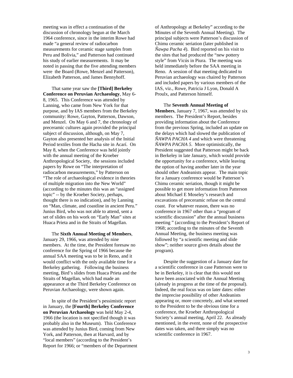meeting was in effect a continuation of the discussion of chronology begun at the March 1964 conference, since in the interim Rowe had made "a general review of radiocarbon measurements for ceramic stage samples from Peru and Bolivia," and Patterson had continued his study of earlier measurements. It may be noted in passing that the five attending members were the Board (Rowe, Menzel and Patterson), Elizabeth Patterson, and James Bennyhoff.

That same year saw the **[Third] Berkeley Conference on Peruvian Archaeology**, May 6- 8, 1965. This Conference was attended by Lanning, who came from New York for that purpose, and by IAS members from the Berkeley community: Rowe, Gayton, Patterson, Dawson, and Menzel. On May 6 and 7, the chronology of preceramic cultures again provided the principal subject of discussion, although, on May 7, Gayton also presented her analysis of the Initial Period textiles from the Hacha site in Acarí. On May 8, when the Conference was held jointly with the annual meeting of the Kroeber Anthropological Society, the sessions included papers by Rowe on "The interpretation of radiocarbon measurements," by Patterson on "The role of archaeological evidence in theories of multiple migration into the New World" (according to the minutes this was an "assigned topic" -- by the Kroeber Society, perhaps, thought there is no indication), and by Lanning on "Man, climate, and coastline in ancient Peru." Junius Bird, who was not able to attend, sent a set of slides on his work on "Early Man" sites at Huaca Prieta and in the Straits of Magellan.

The **Sixth Annual Meeting of Members**, January 29, 1966, was attended by nine members. At the time, the President foresaw no conference for the Spring of 1966 because the annual SAA meeting was to be in Reno, and it would conflict with the only available time for a Berkeley gathering. Following the business meeting, Bird's slides from Huaca Prieta and the Straits of Magellan, which had made an appearance at the Third Berkeley Conference on Peruvian Archaeology, were shown again.

In spite of the President's pessimistic report in January, the **[Fourth] Berkeley Conference on Peruvian Archaeology** was held May 2-4, 1966 (the location is not specified though it was probably also in the Museum). This Conference was attended by Junius Bird, coming from New York, and Patterson, then at Harvard, and by "local members" (according to the President's Report for 1966; or "members of the Department of Anthropology at Berkeley" according to the Minutes of the Seventh Annual Meeting). The principal subjects were Patterson's discussion of Chimu ceramic seriation (later published in *Ñawpa Pacha 4*). Bird reported on his visit to the sites that had produced the "new pottery style" from Vicús in Piura. The meeting was held immediately before the SAA meeting in Reno. A session of that meeting dedicated to Peruvian archaeology was chaired by Patterson and included papers by various members of the IAS, viz., Rowe, Patricia J Lyon, Donald A Proulx, and Patterson himself.

The **Seventh Annual Meeting of Members**, January 7, 1967, was attended by six members. The President's Report, besides providing information about the Conference from the previous Spring, included an update on the delays which had slowed the publication of *ÑAWPA PACHA 4* and which were threatening *ÑAWPA PACHA 5*. More optimistically, the President suggested that Patterson might be back in Berkeley in late January, which would provide the opportunity for a conference, while leaving the option of having another later in the year should other Andeanists appear. The main topic for a January conference would be Patterson's Chimu ceramic seriation, though it might be possible to get more information from Patterson about Michael E Moseley's research and excavations of preceramic refuse on the central coast. For whatever reason, there was no conference in 1967 other than a "program of scientific discussion" after the annual business meeting " (according to the President's Report of 1968; according to the minutes of the Seventh Annual Meeting, the business meeting was followed by "a scientific meeting and slide show"; neither source gives details about the program).

Despite the suggestion of a January date for a scientific conference in case Patterson were to be in Berkeley, it is clear that this would not have been associated with the Annual Meeting (already in progress at the time of the proposal). Indeed, the real focus was on later dates: either the imprecise possibility of other Andeanists appearing or, more concretely, and what seemed to the President to be the obvious time for a conference, the Kroeber Anthropological Society's annual meeting, April 22. As already mentioned, in the event, none of the prospective dates was taken, and there simply was no scientific conference in 1967.